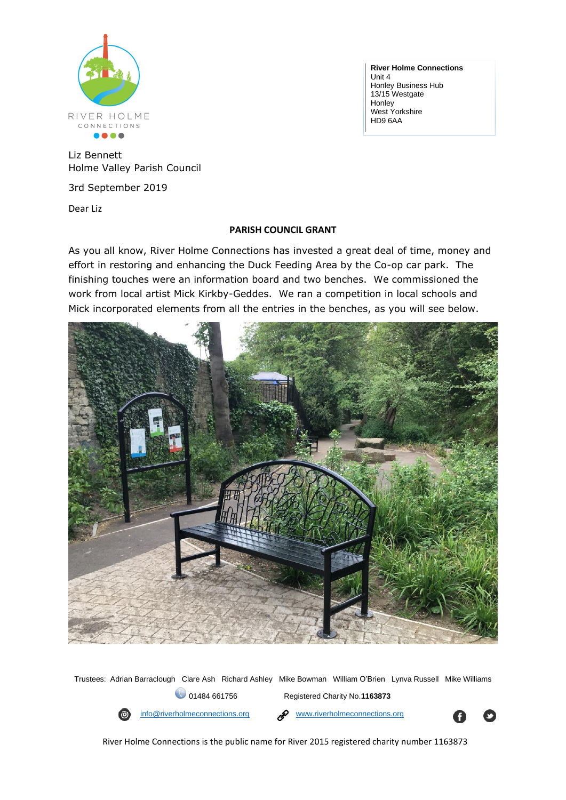

**River Holme Connections**  Unit 4 Honley Business Hub 13/15 Westgate **Honley** West Yorkshire HD9 6AA

Liz Bennett Holme Valley Parish Council

3rd September 2019

Dear Liz

## **PARISH COUNCIL GRANT**

As you all know, River Holme Connections has invested a great deal of time, money and effort in restoring and enhancing the Duck Feeding Area by the Co-op car park. The finishing touches were an information board and two benches. We commissioned the work from local artist Mick Kirkby-Geddes. We ran a competition in local schools and Mick incorporated elements from all the entries in the benches, as you will see below.



Trustees: Adrian Barraclough Clare Ash Richard Ashley Mike Bowman William O'Brien Lynva Russell Mike Williams 01484 661756 Registered Charity No.**1163873**



[info@riverholmeconnections.org](mailto:info@riverholmeconnections.org) [www.riverholmeconnections.org](http://www.riverholmeconnections.org/)



River Holme Connections is the public name for River 2015 registered charity number 1163873